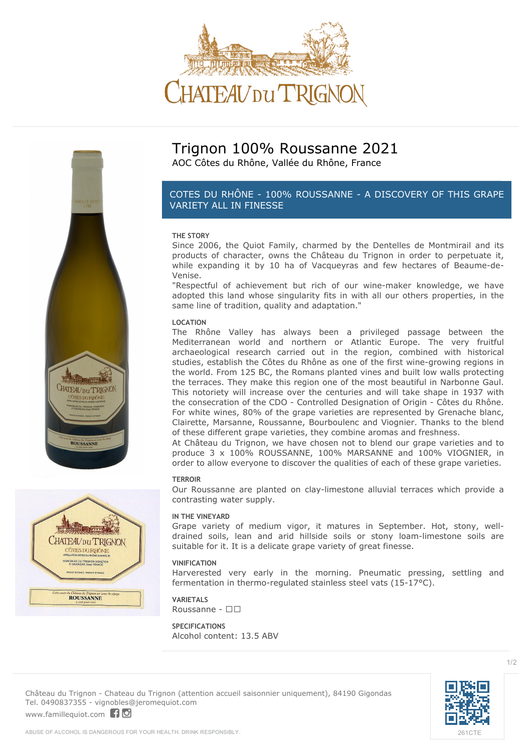





# **Trignon 100% Roussanne 2021**

AOC Côtes du Rhône, Vallée du Rhône, France

# *COTES DU RHÔNE - 100% ROUSSANNE - A DISCOVERY OF THIS GRAPE VARIETY ALL IN FINESSE*

### **THE STORY**

Since 2006, the Quiot Family, charmed by the Dentelles de Montmirail and its products of character, owns the Château du Trignon in order to perpetuate it, while expanding it by 10 ha of Vacqueyras and few hectares of Beaume-de-Venise.

"Respectful of achievement but rich of our wine-maker knowledge, we have adopted this land whose singularity fits in with all our others properties, in the same line of tradition, quality and adaptation."

### **LOCATION**

The Rhône Valley has always been a privileged passage between the Mediterranean world and northern or Atlantic Europe. The very fruitful archaeological research carried out in the region, combined with historical studies, establish the Côtes du Rhône as one of the first wine-growing regions in the world. From 125 BC, the Romans planted vines and built low walls protecting the terraces. They make this region one of the most beautiful in Narbonne Gaul. This notoriety will increase over the centuries and will take shape in 1937 with the consecration of the CDO - Controlled Designation of Origin - Côtes du Rhône. For white wines, 80% of the grape varieties are represented by Grenache blanc, Clairette, Marsanne, Roussanne, Bourboulenc and Viognier. Thanks to the blend of these different grape varieties, they combine aromas and freshness.

At Château du Trignon, we have chosen not to blend our grape varieties and to produce 3 x 100% ROUSSANNE, 100% MARSANNE and 100% VIOGNIER, in order to allow everyone to discover the qualities of each of these grape varieties.

#### **TERROIR**

Our Roussanne are planted on clay-limestone alluvial terraces which provide a contrasting water supply.

### **IN THE VINEYARD**

Grape variety of medium vigor, it matures in September. Hot, stony, welldrained soils, lean and arid hillside soils or stony loam-limestone soils are suitable for it. It is a delicate grape variety of great finesse.

### **VINIFICATION**

Harverested very early in the morning. Pneumatic pressing, settling and fermentation in thermo-regulated stainless steel vats (15-17°C).

**VARIETALS** Roussanne -  $\square$  $\square$ 

**SPECIFICATIONS** Alcohol content: 13.5 ABV

**Château du Trignon** - Chateau du Trignon (attention accueil saisonnier uniquement), 84190 Gigondas Tel. 0490837355 - vignobles@jeromequiot.com <www.famillequiot.com>